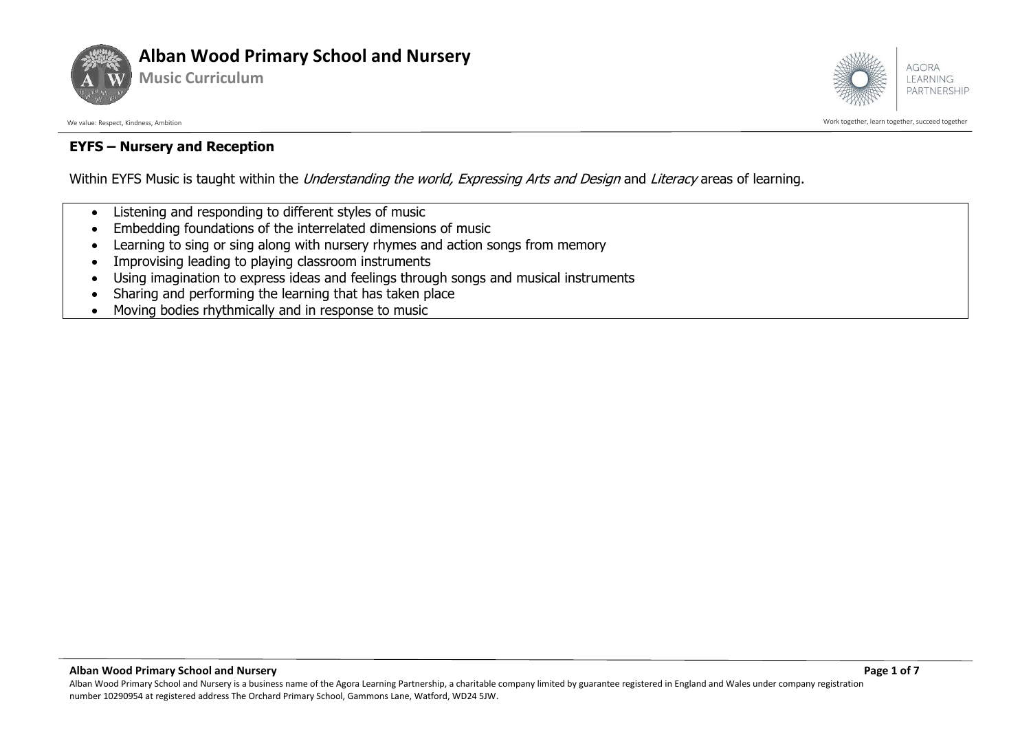



We value: Respect, Kindness, Ambition Work together, learn together, succeed together

#### **EYFS – Nursery and Reception**

Within EYFS Music is taught within the *Understanding the world, Expressing Arts and Design* and *Literacy* areas of learning.

- Listening and responding to different styles of music
- Embedding foundations of the interrelated dimensions of music
- Learning to sing or sing along with nursery rhymes and action songs from memory
- Improvising leading to playing classroom instruments
- Using imagination to express ideas and feelings through songs and musical instruments
- Sharing and performing the learning that has taken place
- Moving bodies rhythmically and in response to music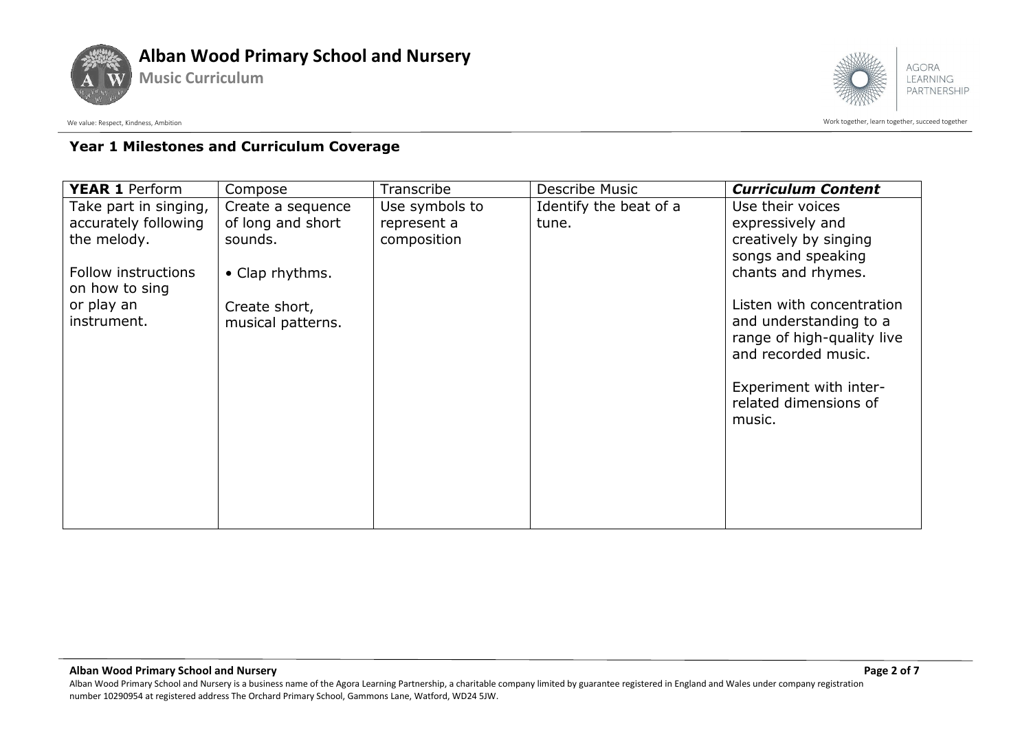



We value: Respect, Kindness, Ambition controlled to a succeed together acceed together succeed together succeed together

### **Year 1 Milestones and Curriculum Coverage**

| Use their voices                                |
|-------------------------------------------------|
|                                                 |
| expressively and                                |
| creatively by singing                           |
| songs and speaking                              |
| chants and rhymes.                              |
|                                                 |
| Listen with concentration                       |
| and understanding to a                          |
| range of high-quality live                      |
| and recorded music.                             |
|                                                 |
| Experiment with inter-<br>related dimensions of |
| music.                                          |
|                                                 |
|                                                 |
|                                                 |
|                                                 |
|                                                 |
|                                                 |
|                                                 |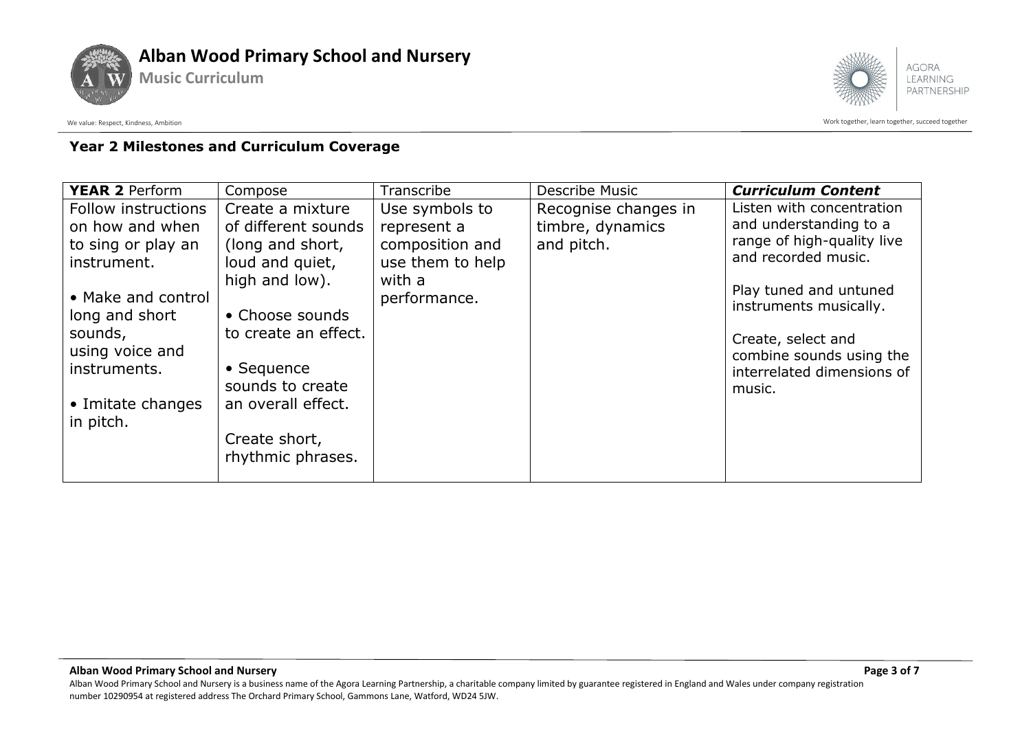



We value: Respect, Kindness, Ambition controlled to a succeed together acceed together succeed together succeed together

# **Year 2 Milestones and Curriculum Coverage**

| <b>YEAR 2 Perform</b>                                                                                                                                                                               | Compose                                                                                                                                                                                                                                           | Transcribe                                                                                     | Describe Music                                         | <b>Curriculum Content</b>                                                                                                                                                                                                                              |
|-----------------------------------------------------------------------------------------------------------------------------------------------------------------------------------------------------|---------------------------------------------------------------------------------------------------------------------------------------------------------------------------------------------------------------------------------------------------|------------------------------------------------------------------------------------------------|--------------------------------------------------------|--------------------------------------------------------------------------------------------------------------------------------------------------------------------------------------------------------------------------------------------------------|
| Follow instructions<br>on how and when<br>to sing or play an<br>instrument.<br>• Make and control<br>long and short<br>sounds,<br>using voice and<br>instruments.<br>• Imitate changes<br>in pitch. | Create a mixture<br>of different sounds<br>(long and short,<br>loud and quiet,<br>high and low).<br>• Choose sounds<br>to create an effect.<br>$\bullet$ Sequence<br>sounds to create<br>an overall effect.<br>Create short,<br>rhythmic phrases. | Use symbols to<br>represent a<br>composition and<br>use them to help<br>with a<br>performance. | Recognise changes in<br>timbre, dynamics<br>and pitch. | Listen with concentration<br>and understanding to a<br>range of high-quality live<br>and recorded music.<br>Play tuned and untuned<br>instruments musically.<br>Create, select and<br>combine sounds using the<br>interrelated dimensions of<br>music. |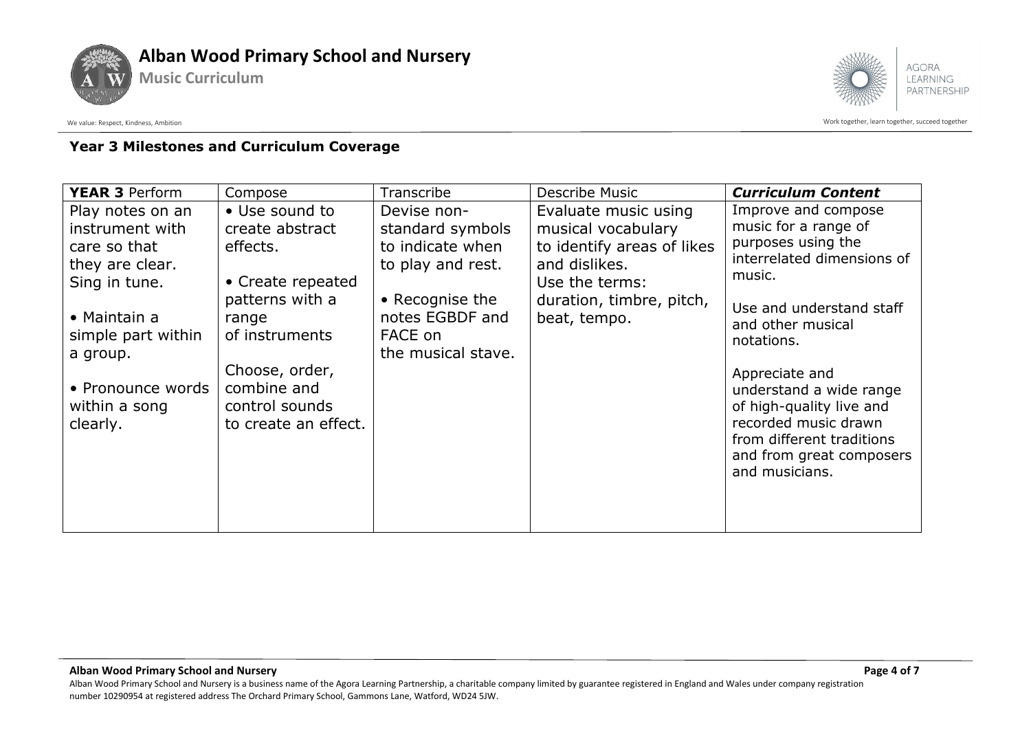



We value: Respect, Kindness, Ambition controlled to a succeed together acceed together succeed together succeed together

# **Year 3 Milestones and Curriculum Coverage**

| <b>YEAR 3 Perform</b>                                                                                                                                                                       | Compose                                                                                                                                                                                     | Transcribe                                                                                                                                      | Describe Music                                                                                                                                          | <b>Curriculum Content</b>                                                                                                                                                                                                                                                                                                                            |
|---------------------------------------------------------------------------------------------------------------------------------------------------------------------------------------------|---------------------------------------------------------------------------------------------------------------------------------------------------------------------------------------------|-------------------------------------------------------------------------------------------------------------------------------------------------|---------------------------------------------------------------------------------------------------------------------------------------------------------|------------------------------------------------------------------------------------------------------------------------------------------------------------------------------------------------------------------------------------------------------------------------------------------------------------------------------------------------------|
| Play notes on an<br>instrument with<br>care so that<br>they are clear.<br>Sing in tune.<br>• Maintain a<br>simple part within<br>a group.<br>• Pronounce words<br>within a song<br>clearly. | • Use sound to<br>create abstract<br>effects.<br>• Create repeated<br>patterns with a<br>range<br>of instruments<br>Choose, order,<br>combine and<br>control sounds<br>to create an effect. | Devise non-<br>standard symbols<br>to indicate when<br>to play and rest.<br>• Recognise the<br>notes EGBDF and<br>FACE on<br>the musical stave. | Evaluate music using<br>musical vocabulary<br>to identify areas of likes<br>and dislikes.<br>Use the terms:<br>duration, timbre, pitch,<br>beat, tempo. | Improve and compose<br>music for a range of<br>purposes using the<br>interrelated dimensions of<br>music.<br>Use and understand staff<br>and other musical<br>notations.<br>Appreciate and<br>understand a wide range<br>of high-quality live and<br>recorded music drawn<br>from different traditions<br>and from great composers<br>and musicians. |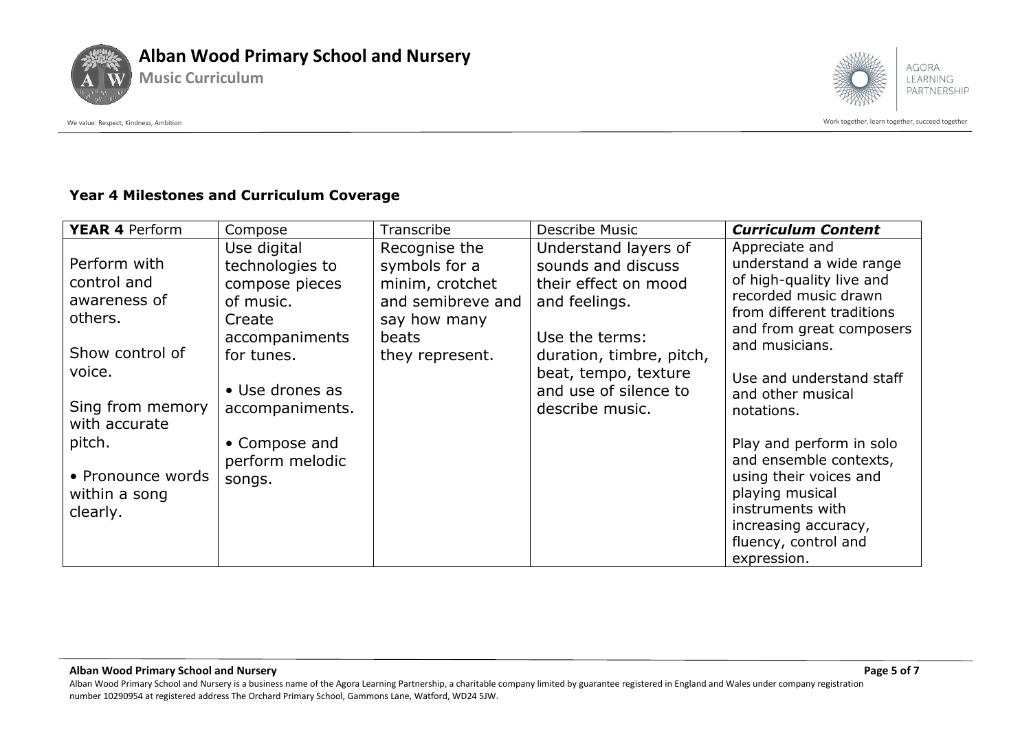



We value: Respect, Kindness, Ambition controlled to a succeed together acceed together succeed together succeed together

#### **Year 4 Milestones and Curriculum Coverage**

| <b>YEAR 4 Perform</b>                                                                                                                                                                | Compose                                                                                                                                                                                     | Transcribe                                                                                                         | Describe Music                                                                                                                                                                                        | <b>Curriculum Content</b>                                                                                                                                                                                                                                                                                                                                                                                                     |
|--------------------------------------------------------------------------------------------------------------------------------------------------------------------------------------|---------------------------------------------------------------------------------------------------------------------------------------------------------------------------------------------|--------------------------------------------------------------------------------------------------------------------|-------------------------------------------------------------------------------------------------------------------------------------------------------------------------------------------------------|-------------------------------------------------------------------------------------------------------------------------------------------------------------------------------------------------------------------------------------------------------------------------------------------------------------------------------------------------------------------------------------------------------------------------------|
| Perform with<br>control and<br>awareness of<br>others.<br>Show control of<br>voice.<br>Sing from memory<br>with accurate<br>pitch.<br>• Pronounce words<br>within a song<br>clearly. | Use digital<br>technologies to<br>compose pieces<br>of music.<br>Create<br>accompaniments<br>for tunes.<br>• Use drones as<br>accompaniments.<br>• Compose and<br>perform melodic<br>songs. | Recognise the<br>symbols for a<br>minim, crotchet<br>and semibreve and<br>say how many<br>beats<br>they represent. | Understand layers of<br>sounds and discuss<br>their effect on mood<br>and feelings.<br>Use the terms:<br>duration, timbre, pitch,<br>beat, tempo, texture<br>and use of silence to<br>describe music. | Appreciate and<br>understand a wide range<br>of high-quality live and<br>recorded music drawn<br>from different traditions<br>and from great composers<br>and musicians.<br>Use and understand staff<br>and other musical<br>notations.<br>Play and perform in solo<br>and ensemble contexts,<br>using their voices and<br>playing musical<br>instruments with<br>increasing accuracy,<br>fluency, control and<br>expression. |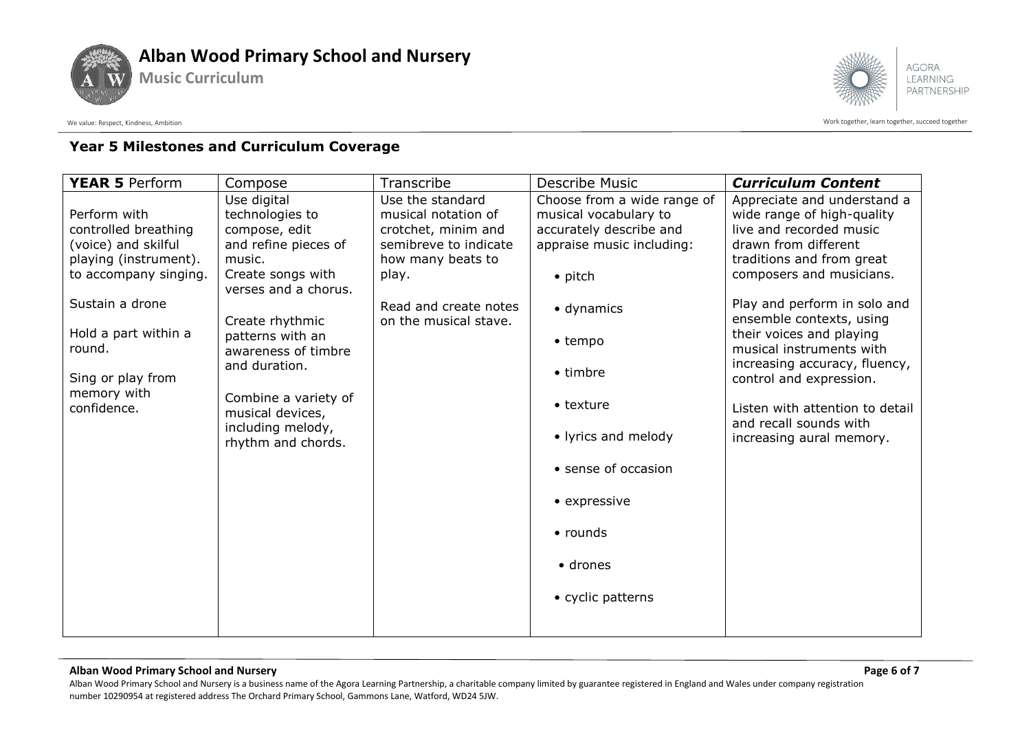



# **Year 5 Milestones and Curriculum Coverage**

| <b>YEAR 5 Perform</b>          | Compose                                   | Transcribe            | <b>Describe Music</b>       | <b>Curriculum Content</b>                            |
|--------------------------------|-------------------------------------------|-----------------------|-----------------------------|------------------------------------------------------|
|                                | Use digital                               | Use the standard      | Choose from a wide range of | Appreciate and understand a                          |
| Perform with                   | technologies to                           | musical notation of   | musical vocabulary to       | wide range of high-quality                           |
| controlled breathing           | compose, edit                             | crotchet, minim and   | accurately describe and     | live and recorded music                              |
| (voice) and skilful            | and refine pieces of                      | semibreve to indicate | appraise music including:   | drawn from different                                 |
| playing (instrument).          | music.                                    | how many beats to     |                             | traditions and from great                            |
| to accompany singing.          | Create songs with<br>verses and a chorus. | play.                 | $\bullet$ pitch             | composers and musicians.                             |
| Sustain a drone                |                                           | Read and create notes | • dynamics                  | Play and perform in solo and                         |
|                                | Create rhythmic                           | on the musical stave. |                             | ensemble contexts, using                             |
| Hold a part within a<br>round. | patterns with an                          |                       | • tempo                     | their voices and playing<br>musical instruments with |
|                                | awareness of timbre<br>and duration.      |                       |                             | increasing accuracy, fluency,                        |
| Sing or play from              |                                           |                       | $\bullet$ timbre            | control and expression.                              |
| memory with                    | Combine a variety of                      |                       |                             |                                                      |
| confidence.                    | musical devices,                          |                       | $\bullet$ texture           | Listen with attention to detail                      |
|                                | including melody,<br>rhythm and chords.   |                       | • lyrics and melody         | and recall sounds with<br>increasing aural memory.   |
|                                |                                           |                       |                             |                                                      |
|                                |                                           |                       | • sense of occasion         |                                                      |
|                                |                                           |                       | • expressive                |                                                      |
|                                |                                           |                       |                             |                                                      |
|                                |                                           |                       | $\bullet$ rounds            |                                                      |
|                                |                                           |                       |                             |                                                      |
|                                |                                           |                       | • drones                    |                                                      |
|                                |                                           |                       | • cyclic patterns           |                                                      |
|                                |                                           |                       |                             |                                                      |
|                                |                                           |                       |                             |                                                      |

#### **Alban Wood Primary School and Nursery Page 6 of 7**